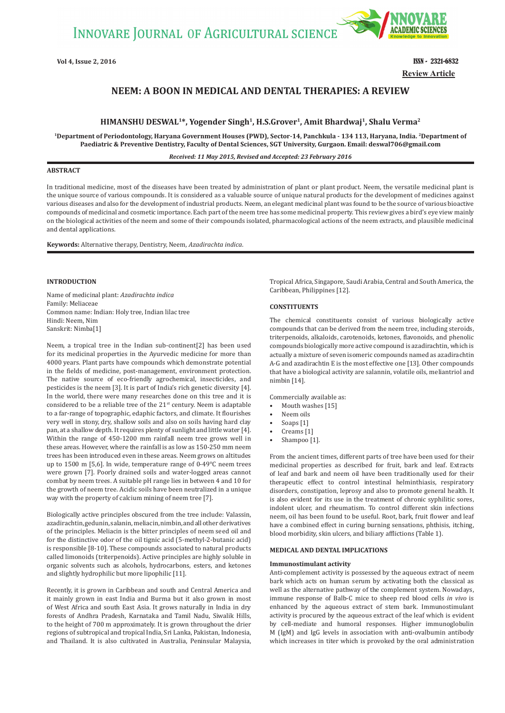

**Review Article Vol 4, Issue 2, 2016** ISSN - 2321-6832

# **NEEM: A BOON IN MEDICAL AND DENTAL THERAPIES: A REVIEW**

# **HIMANSHU DESWAL1\*, Yogender Singh1, H.S.Grover1, Amit Bhardwaj1, Shalu Verma2**

**1Department of Periodontology, Haryana Government Houses (PWD), Sector-14, Panchkula - 134 113, Haryana, India. 2Department of Paediatric & Preventive Dentistry, Faculty of Dental Sciences, SGT University, Gurgaon. Email: deswal706@gmail.com**

*Received: 11 May 2015, Revised and Accepted: 23 February 2016*

# **ABSTRACT**

In traditional medicine, most of the diseases have been treated by administration of plant or plant product. Neem, the versatile medicinal plant is the unique source of various compounds. It is considered as a valuable source of unique natural products for the development of medicines against various diseases and also for the development of industrial products. Neem, an elegant medicinal plant was found to be the source of various bioactive compounds of medicinal and cosmetic importance. Each part of the neem tree has some medicinal property. This review gives a bird's eye view mainly on the biological activities of the neem and some of their compounds isolated, pharmacological actions of the neem extracts, and plausible medicinal and dental applications.

**Keywords:** Alternative therapy, Dentistry, Neem, *Azadirachta indica*.

# **INTRODUCTION**

Name of medicinal plant: *Azadirachta indica* Family: Meliaceae Common name: Indian: Holy tree, Indian lilac tree Hindi: Neem, Nim Sanskrit: Nimba[1]

Neem, a tropical tree in the Indian sub-continent[2] has been used for its medicinal properties in the Ayurvedic medicine for more than 4000 years. Plant parts have compounds which demonstrate potential in the fields of medicine, post-management, environment protection. The native source of eco-friendly agrochemical, insecticides, and pesticides is the neem [3]. It is part of India's rich genetic diversity [4]. In the world, there were many researches done on this tree and it is considered to be a reliable tree of the  $21<sup>st</sup>$  century. Neem is adaptable to a far-range of topographic, edaphic factors, and climate. It flourishes very well in stony, dry, shallow soils and also on soils having hard clay pan, at a shallow depth. It requires plenty of sunlight and little water [4]. Within the range of 450-1200 mm rainfall neem tree grows well in these areas. However, where the rainfall is as low as 150-250 mm neem trees has been introduced even in these areas. Neem grows on altitudes up to 1500 m [5,6]. In wide, temperature range of 0-49°C neem trees were grown [7]. Poorly drained soils and water-logged areas cannot combat by neem trees. A suitable pH range lies in between 4 and 10 for the growth of neem tree. Acidic soils have been neutralized in a unique way with the property of calcium mining of neem tree [7].

Biologically active principles obscured from the tree include: Valassin, azadirachtin, gedunin, salanin, meliacin, nimbin, and all other derivatives of the principles. Meliacin is the bitter principles of neem seed oil and for the distinctive odor of the oil tignic acid (5-methyl-2-butanic acid) is responsible [8-10]. These compounds associated to natural products called limonoids (triterpenoids). Active principles are highly soluble in organic solvents such as alcohols, hydrocarbons, esters, and ketones and slightly hydrophilic but more lipophilic [11].

Recently, it is grown in Caribbean and south and Central America and it mainly grown in east India and Burma but it also grown in most of West Africa and south East Asia. It grows naturally in India in dry forests of Andhra Pradesh, Karnataka and Tamil Nadu, Siwalik Hills, to the height of 700 m approximately. It is grown throughout the drier regions of subtropical and tropical India, Sri Lanka, Pakistan, Indonesia, and Thailand. It is also cultivated in Australia, Peninsular Malaysia,

Tropical Africa, Singapore, Saudi Arabia, Central and South America, the Caribbean, Philippines [12].

#### **CONSTITUENTS**

The chemical constituents consist of various biologically active compounds that can be derived from the neem tree, including steroids, triterpenoids, alkaloids, carotenoids, ketones, flavonoids, and phenolic compounds biologically more active compound is azadirachtin, which is actually a mixture of seven isomeric compounds named as azadirachtin A-G and azadirachtin E is the most effective one [13]. Other compounds that have a biological activity are salannin, volatile oils, meliantriol and nimbin [14].

Commercially available as:

- Mouth washes [15]
- Neem oils
- Soaps [1]
- Creams [1]
- Shampoo [1].

From the ancient times, different parts of tree have been used for their medicinal properties as described for fruit, bark and leaf. Extracts of leaf and bark and neem oil have been traditionally used for their therapeutic effect to control intestinal helminthiasis, respiratory disorders, constipation, leprosy and also to promote general health. It is also evident for its use in the treatment of chronic syphilitic sores, indolent ulcer, and rheumatism. To control different skin infections neem, oil has been found to be useful. Root, bark, fruit flower and leaf have a combined effect in curing burning sensations, phthisis, itching, blood morbidity, skin ulcers, and biliary afflictions (Table 1).

### **MEDICAL AND DENTAL IMPLICATIONS**

#### **Immunostimulant activity**

Anti-complement activity is possessed by the aqueous extract of neem bark which acts on human serum by activating both the classical as well as the alternative pathway of the complement system. Nowadays, immune response of Balb-C mice to sheep red blood cells *in vivo* is enhanced by the aqueous extract of stem bark. Immunostimulant activity is procured by the aqueous extract of the leaf which is evident by cell-mediate and humoral responses. Higher immunoglobulin M (IgM) and IgG levels in association with anti-ovalbumin antibody which increases in titer which is provoked by the oral administration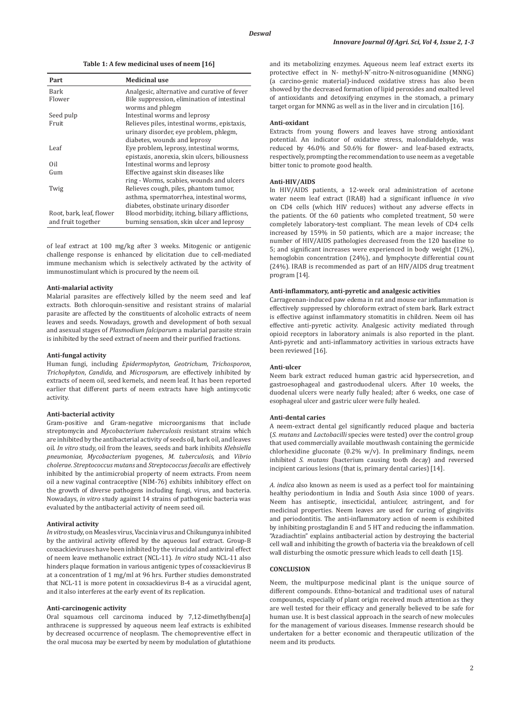**Table 1: A few medicinal uses of neem [16]**

| Part                     | <b>Medicinal use</b>                                            |
|--------------------------|-----------------------------------------------------------------|
| Bark                     | Analgesic, alternative and curative of fever                    |
| Flower                   | Bile suppression, elimination of intestinal<br>worms and phlegm |
| Seed pulp                | Intestinal worms and leprosy                                    |
| Fruit                    | Relieves piles, intestinal worms, epistaxis,                    |
|                          | urinary disorder, eye problem, phlegm,                          |
|                          | diabetes, wounds and leprosy                                    |
| Leaf                     | Eye problem, leprosy, intestinal worms,                         |
|                          | epistaxis, anorexia, skin ulcers, biliousness                   |
| Oil                      | Intestinal worms and leprosy                                    |
| Gum                      | Effective against skin diseases like                            |
|                          | ring - Worms, scabies, wounds and ulcers                        |
| Twig                     | Relieves cough, piles, phantom tumor,                           |
|                          | asthma, spermatorrhea, intestinal worms,                        |
|                          | diabetes, obstinate urinary disorder                            |
| Root, bark, leaf, flower | Blood morbidity, itching, biliary afflictions,                  |
| and fruit together       | burning sensation, skin ulcer and leprosy                       |

of leaf extract at 100 mg/kg after 3 weeks. Mitogenic or antigenic challenge response is enhanced by elicitation due to cell-mediated immune mechanism which is selectively activated by the activity of immunostimulant which is procured by the neem oil.

#### **Anti-malarial activity**

Malarial parasites are effectively killed by the neem seed and leaf extracts. Both chloroquin-sensitive and resistant strains of malarial parasite are affected by the constituents of alcoholic extracts of neem leaves and seeds. Nowadays, growth and development of both sexual and asexual stages of *Plasmodium falciparum* a malarial parasite strain is inhibited by the seed extract of neem and their purified fractions.

#### **Anti-fungal activity**

Human fungi, including *Epidermophyton*, *Geotrichum*, *Trichosporon*, *Trichophyton*, *Candida,* and *Microsporum,* are effectively inhibited by extracts of neem oil, seed kernels, and neem leaf. It has been reported earlier that different parts of neem extracts have high antimycotic activity.

# **Anti-bacterial activity**

Gram-positive and Gram-negative microorganisms that include streptomycin and *Mycobacterium tuberculosis* resistant strains which are inhibited by the antibacterial activity of seeds oil, bark oil, and leaves oil. *In vitro* study, oil from the leaves, seeds and bark inhibits *Klebsiella pneumoniae*, *Mycobacterium* pyogenes, *M. tuberculosis,* and *Vibrio cholerae*. *Streptococcus mutans* and *Streptococcus faecalis* are effectively inhibited by the antimicrobial property of neem extracts. From neem oil a new vaginal contraceptive (NIM-76) exhibits inhibitory effect on the growth of diverse pathogens including fungi, virus, and bacteria. Nowadays, *in vitro* study against 14 strains of pathogenic bacteria was evaluated by the antibacterial activity of neem seed oil.

#### **Antiviral activity**

*In vitro* study, on Measles virus, Vaccinia virus and Chikungunya inhibited by the antiviral activity offered by the aqueous leaf extract. Group-B coxsackieviruses have been inhibited by the virucidal and antiviral effect of neem leave methanolic extract (NCL-11). *In vitro* study NCL-11 also hinders plaque formation in various antigenic types of coxsackievirus B at a concentration of 1 mg/ml at 96 hrs. Further studies demonstrated that NCL-11 is more potent in coxsackievirus B-4 as a virucidal agent, and it also interferes at the early event of its replication.

#### **Anti-carcinogenic activity**

Oral squamous cell carcinoma induced by 7,12-dimethylbenz[a] anthracene is suppressed by aqueous neem leaf extracts is exhibited by decreased occurrence of neoplasm. The chemopreventive effect in the oral mucosa may be exerted by neem by modulation of glutathione and its metabolizing enzymes. Aqueous neem leaf extract exerts its protective effect in N- methyl-N′-nitro-N-nitrosoguanidine (MNNG) (a carcino-genic material)-induced oxidative stress has also been showed by the decreased formation of lipid peroxides and exalted level of antioxidants and detoxifying enzymes in the stomach, a primary target organ for MNNG as well as in the liver and in circulation [16].

#### **Anti-oxidant**

Extracts from young flowers and leaves have strong antioxidant potential. An indicator of oxidative stress, malondialdehyde, was reduced by 46.0% and 50.6% for flower- and leaf-based extracts, respectively, prompting the recommendation to use neem as a vegetable bitter tonic to promote good health.

# **Anti-HIV/AIDS**

In HIV/AIDS patients, a 12-week oral administration of acetone water neem leaf extract (IRAB) had a significant influence *in vivo*  on CD4 cells (which HIV reduces) without any adverse effects in the patients. Of the 60 patients who completed treatment, 50 were completely laboratory-test compliant. The mean levels of CD4 cells increased by 159% in 50 patients, which are a major increase; the number of HIV/AIDS pathologies decreased from the 120 baseline to 5; and significant increases were experienced in body weight (12%), hemoglobin concentration (24%), and lymphocyte differential count (24%). IRAB is recommended as part of an HIV/AIDS drug treatment program [14].

# **Anti-inflammatory, anti-pyretic and analgesic activities**

Carrageenan-induced paw edema in rat and mouse ear inflammation is effectively suppressed by chloroform extract of stem bark. Bark extract is effective against inflammatory stomatitis in children. Neem oil has effective anti-pyretic activity. Analgesic activity mediated through opioid receptors in laboratory animals is also reported in the plant. Anti-pyretic and anti-inflammatory activities in various extracts have been reviewed [16].

#### **Anti-ulcer**

Neem bark extract reduced human gastric acid hypersecretion, and gastroesophageal and gastroduodenal ulcers. After 10 weeks, the duodenal ulcers were nearly fully healed; after 6 weeks, one case of esophageal ulcer and gastric ulcer were fully healed.

#### **Anti-dental caries**

A neem-extract dental gel significantly reduced plaque and bacteria (*S. mutans* and *Lactobacilli* species were tested) over the control group that used commercially available mouthwash containing the germicide chlorhexidine gluconate  $(0.2\% \text{ w/v})$ . In preliminary findings, neem inhibited *S. mutans* (bacterium causing tooth decay) and reversed incipient carious lesions (that is, primary dental caries) [14].

*A. indica* also known as neem is used as a perfect tool for maintaining healthy periodontium in India and South Asia since 1000 of years. Neem has antiseptic, insecticidal, antiulcer, astringent, and for medicinal properties. Neem leaves are used for curing of gingivitis and periodontitis. The anti-inflammatory action of neem is exhibited by inhibiting prostaglandin E and 5 HT and reducing the inflammation. "Azadiachtin" explains antibacterial action by destroying the bacterial cell wall and inhibiting the growth of bacteria via the breakdown of cell wall disturbing the osmotic pressure which leads to cell death [15].

# **CONCLUSION**

Neem, the multipurpose medicinal plant is the unique source of different compounds. Ethno-botanical and traditional uses of natural compounds, especially of plant origin received much attention as they are well tested for their efficacy and generally believed to be safe for human use. It is best classical approach in the search of new molecules for the management of various diseases. Immense research should be undertaken for a better economic and therapeutic utilization of the neem and its products.